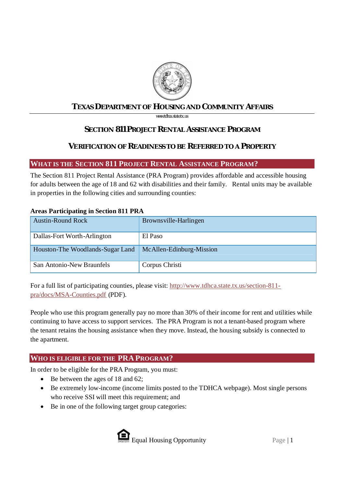

# **TEXAS DEPARTMENT OF HOUSING AND COMMUNITY AFFAIRS**

*www.tdhca.state.tx.us*

# **SECTION 811 PROJECT RENTAL ASSISTANCE PROGRAM**

# **VERIFICATION OF READINESS TO BE REFERRED TO A PROPERTY**

# **WHAT IS THE SECTION 811 PROJECT RENTAL ASSISTANCE PROGRAM?**

The Section 811 Project Rental Assistance (PRA Program) provides affordable and accessible housing for adults between the age of 18 and 62 with disabilities and their family. Rental units may be available in properties in the following cities and surrounding counties:

# **Areas Participating in Section 811 PRA**

| <b>Austin-Round Rock</b>         | Brownsville-Harlingen    |
|----------------------------------|--------------------------|
|                                  |                          |
| Dallas-Fort Worth-Arlington      | El Paso                  |
| Houston-The Woodlands-Sugar Land | McAllen-Edinburg-Mission |
| San Antonio-New Braunfels        | Corpus Christi           |

For a full list of participating counties, please visit: http://www.tdhca.state.tx.us/section-811pra/docs/MSA-Counties.pdf (PDF).

People who use this program generally pay no more than 30% of their income for rent and utilities while continuing to have access to support services. The PRA Program is not a tenant-based program where the tenant retains the housing assistance when they move. Instead, the housing subsidy is connected to the apartment.

# **WHO IS ELIGIBLE FOR THE PRA PROGRAM?**

In order to be eligible for the PRA Program, you must:

- Be between the ages of 18 and 62;
- · Be extremely low-income (income limits posted to the TDHCA webpage). Most single persons who receive SSI will meet this requirement; and
- Be in one of the following target group categories:

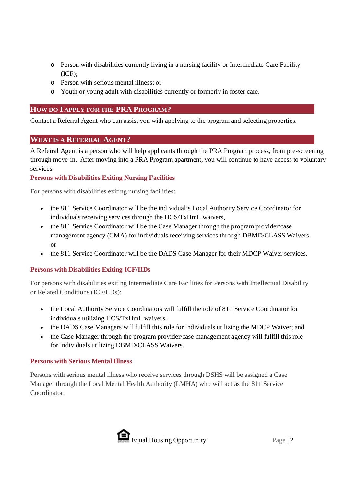- o Person with disabilities currently living in a nursing facility or Intermediate Care Facility (ICF);
- o Person with serious mental illness; or
- o Youth or young adult with disabilities currently or formerly in foster care.

# **HOW DO I APPLY FOR THE PRA PROGRAM?**

Contact a Referral Agent who can assist you with applying to the program and selecting properties.

## **WHAT IS A REFERRAL AGENT?**

A Referral Agent is a person who will help applicants through the PRA Program process, from pre-screening through move-in. After moving into a PRA Program apartment, you will continue to have access to voluntary services.

## **Persons with Disabilities Exiting Nursing Facilities**

For persons with disabilities exiting nursing facilities:

- · the 811 Service Coordinator will be the individual's Local Authority Service Coordinator for individuals receiving services through the HCS/TxHmL waivers,
- the 811 Service Coordinator will be the Case Manager through the program provider/case management agency (CMA) for individuals receiving services through DBMD/CLASS Waivers, or
- the 811 Service Coordinator will be the DADS Case Manager for their MDCP Waiver services.

## **Persons with Disabilities Exiting ICF/IIDs**

For persons with disabilities exiting Intermediate Care Facilities for Persons with Intellectual Disability or Related Conditions (ICF/IIDs):

- · the Local Authority Service Coordinators will fulfill the role of 811 Service Coordinator for individuals utilizing HCS/TxHmL waivers;
- · the DADS Case Managers will fulfill this role for individuals utilizing the MDCP Waiver; and
- · the Case Manager through the program provider/case management agency will fulfill this role for individuals utilizing DBMD/CLASS Waivers.

## **Persons with Serious Mental Illness**

Persons with serious mental illness who receive services through DSHS will be assigned a Case Manager through the Local Mental Health Authority (LMHA) who will act as the 811 Service Coordinator.

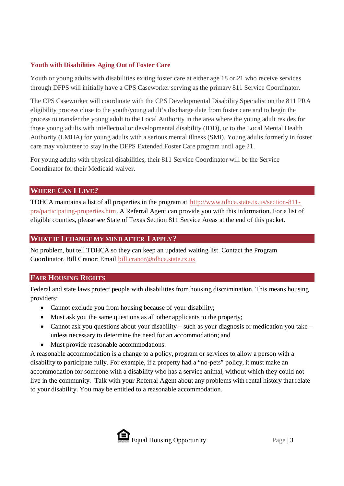## **Youth with Disabilities Aging Out of Foster Care**

Youth or young adults with disabilities exiting foster care at either age 18 or 21 who receive services through DFPS will initially have a CPS Caseworker serving as the primary 811 Service Coordinator.

The CPS Caseworker will coordinate with the CPS Developmental Disability Specialist on the 811 PRA eligibility process close to the youth/young adult's discharge date from foster care and to begin the process to transfer the young adult to the Local Authority in the area where the young adult resides for those young adults with intellectual or developmental disability (IDD), or to the Local Mental Health Authority (LMHA) for young adults with a serious mental illness (SMI). Young adults formerly in foster care may volunteer to stay in the DFPS Extended Foster Care program until age 21.

For young adults with physical disabilities, their 811 Service Coordinator will be the Service Coordinator for their Medicaid waiver.

# **WHERE CAN I LIVE?**

TDHCA maintains a list of all properties in the program at http://www.tdhca.state.tx.us/section-811 pra/participating-properties.htm. A Referral Agent can provide you with this information. For a list of eligible counties, please see State of Texas Section 811 Service Areas at the end of this packet.

## **WHAT IF I CHANGE MY MIND AFTER I APPLY?**

No problem, but tell TDHCA so they can keep an updated waiting list. Contact the Program Coordinator, Bill Cranor: Email bill.cranor@tdhca.state.tx.us

## **FAIR HOUSING RIGHTS**

Federal and state laws protect people with disabilities from housing discrimination. This means housing providers:

- Cannot exclude you from housing because of your disability;
- Must ask you the same questions as all other applicants to the property;
- Cannot ask you questions about your disability such as your diagnosis or medication you take unless necessary to determine the need for an accommodation; and
- Must provide reasonable accommodations.

A reasonable accommodation is a change to a policy, program or services to allow a person with a disability to participate fully. For example, if a property had a "no-pets" policy, it must make an accommodation for someone with a disability who has a service animal, without which they could not live in the community. Talk with your Referral Agent about any problems with rental history that relate to your disability. You may be entitled to a reasonable accommodation.